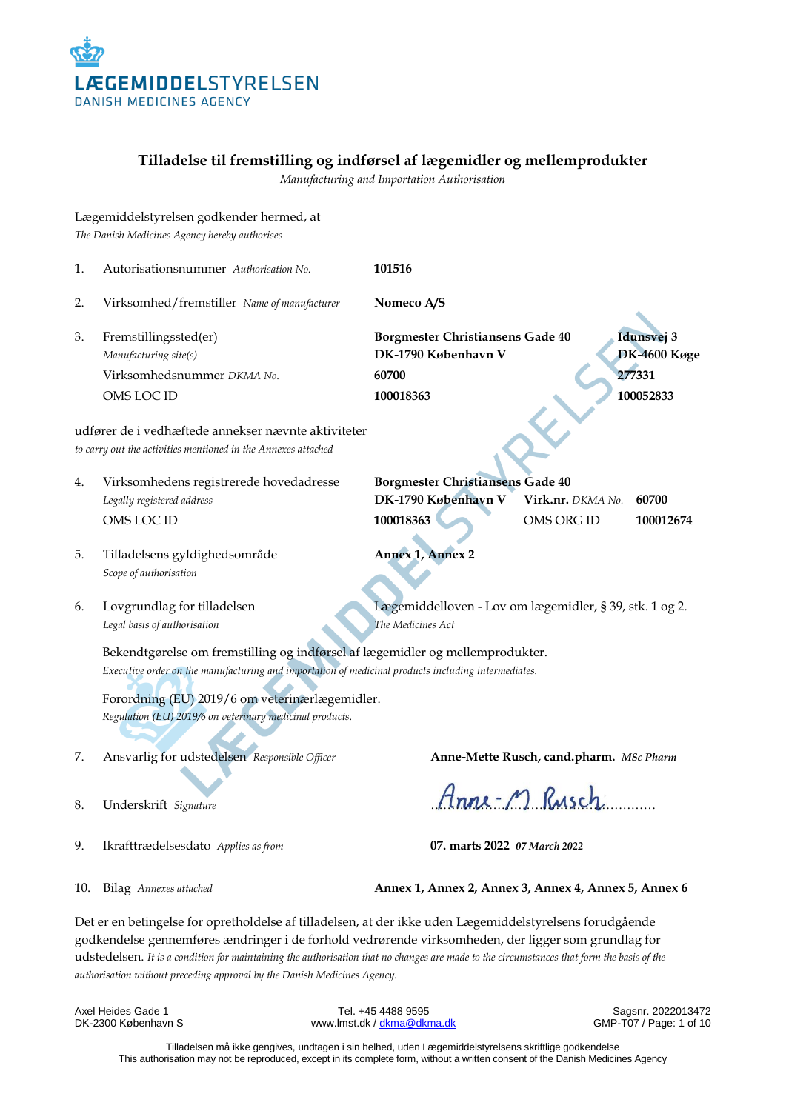

# **Tilladelse til fremstilling og indførsel af lægemidler og mellemprodukter**

*Manufacturing and Importation Authorisation*

|                                                                                                                      | Lægemiddelstyrelsen godkender hermed, at<br>The Danish Medicines Agency hereby authorises                                                                                                            |                                                                              |                                         |                     |
|----------------------------------------------------------------------------------------------------------------------|------------------------------------------------------------------------------------------------------------------------------------------------------------------------------------------------------|------------------------------------------------------------------------------|-----------------------------------------|---------------------|
| 1.                                                                                                                   | Autorisationsnummer Authorisation No.                                                                                                                                                                | 101516                                                                       |                                         |                     |
| 2.                                                                                                                   | Virksomhed/fremstiller Name of manufacturer                                                                                                                                                          | Nomeco A/S                                                                   |                                         |                     |
| 3.                                                                                                                   | Fremstillingssted(er)<br>Manufacturing site(s)                                                                                                                                                       | Borgmester Christiansens Gade 40<br>DK-1790 København V                      | Idunsvej 3                              | <b>DK-4600 Køge</b> |
|                                                                                                                      | Virksomhedsnummer DKMA No.                                                                                                                                                                           | 60700                                                                        | 277331                                  |                     |
|                                                                                                                      | OMS LOC ID                                                                                                                                                                                           | 100018363                                                                    | 100052833                               |                     |
| udfører de i vedhæftede annekser nævnte aktiviteter<br>to carry out the activities mentioned in the Annexes attached |                                                                                                                                                                                                      |                                                                              |                                         |                     |
| 4.                                                                                                                   | Virksomhedens registrerede hovedadresse<br>Legally registered address                                                                                                                                | <b>Borgmester Christiansens Gade 40</b><br>DK-1790 København V               | 60700<br>Virk.nr. DKMA No.              |                     |
|                                                                                                                      | OMS LOC ID                                                                                                                                                                                           | 100018363                                                                    | OMS ORG ID                              | 100012674           |
| 5.                                                                                                                   | Tilladelsens gyldighedsområde<br>Scope of authorisation                                                                                                                                              | Annex 1, Annex 2                                                             |                                         |                     |
| 6.                                                                                                                   | Lovgrundlag for tilladelsen<br>Legal basis of authorisation                                                                                                                                          | Lægemiddelloven - Lov om lægemidler, § 39, stk. 1 og 2.<br>The Medicines Act |                                         |                     |
|                                                                                                                      | Bekendtgørelse om fremstilling og indførsel af lægemidler og mellemprodukter.<br>Executive order on the manufacturing and importation of medicinal products including intermediates.                 |                                                                              |                                         |                     |
|                                                                                                                      | Forordning (EU) 2019/6 om veterinærlægemidler.<br>Regulation (EU) 2019/6 on veterinary medicinal products.                                                                                           |                                                                              |                                         |                     |
| 7.                                                                                                                   | Ansvarlig for udstedelsen Responsible Officer                                                                                                                                                        |                                                                              | Anne-Mette Rusch, cand.pharm. MSc Pharm |                     |
| 8.                                                                                                                   | Underskrift Signature                                                                                                                                                                                |                                                                              | Anne-M Rusch                            |                     |
| 9.                                                                                                                   | Ikrafttrædelsesdato Applies as from                                                                                                                                                                  | 07. marts 2022 07 March 2022                                                 |                                         |                     |
| 10.                                                                                                                  | Bilag Annexes attached                                                                                                                                                                               | Annex 1, Annex 2, Annex 3, Annex 4, Annex 5, Annex 6                         |                                         |                     |
|                                                                                                                      | Det er en betingelse for opretholdelse af tilladelsen, at der ikke uden Lægemiddelstyrelsens forudgående<br>edalga gamaan forma oo dulgaa iyo faybo lahaabaan da xidugaada dan day ligaan gamaan dib |                                                                              |                                         |                     |

godkendelse gennemføres ændringer i de forhold vedrørende virksomheden, der ligger som grundlag for udstedelsen. *It is a condition for maintaining the authorisation that no changes are made to the circumstances that form the basis of the authorisation without preceding approval by the Danish Medicines Agency.*

Axel Heides Gade 1 **Tel. +45 4488 9595** Sagsnr. 2022013472<br>DK-2300 København S Sagsnr. 2022013472<br>
SMP-T07 / Page: 1 of 10 www.lmst.dk [/ dkma@dkma.dk](mailto:dkma@dkma.dk)

Tilladelsen må ikke gengives, undtagen i sin helhed, uden Lægemiddelstyrelsens skriftlige godkendelse This authorisation may not be reproduced, except in its complete form, without a written consent of the Danish Medicines Agency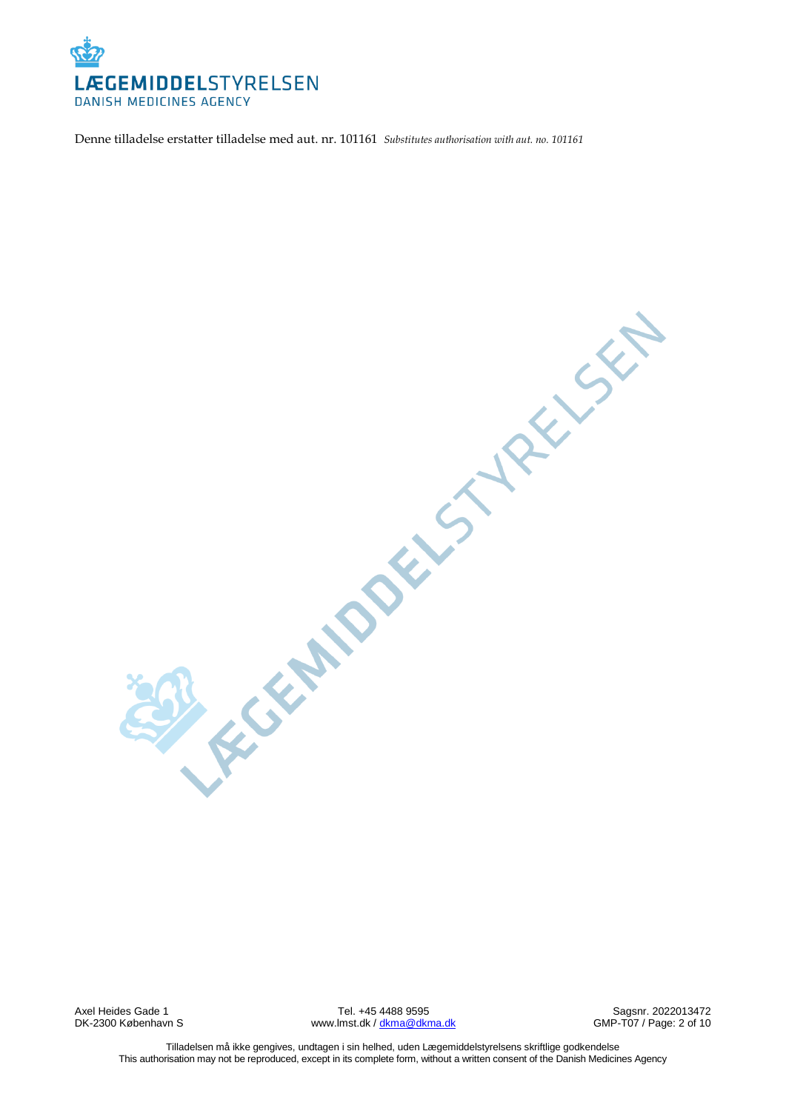

Denne tilladelse erstatter tilladelse med aut. nr. 101161 *Substitutes authorisation with aut. no. 101161*

REGENTIDENCY VERY SEP

Axel Heides Gade 1 **Axel Heides Gade 1** Tel. +45 4488 9595 Sagsnr. 2022013472<br>DK-2300 København S Sagsnr. 2012 Sagsnr. 2022013472 www.lmst.dk /  $dkma@dkma.dk$ 

Tilladelsen må ikke gengives, undtagen i sin helhed, uden Lægemiddelstyrelsens skriftlige godkendelse This authorisation may not be reproduced, except in its complete form, without a written consent of the Danish Medicines Agency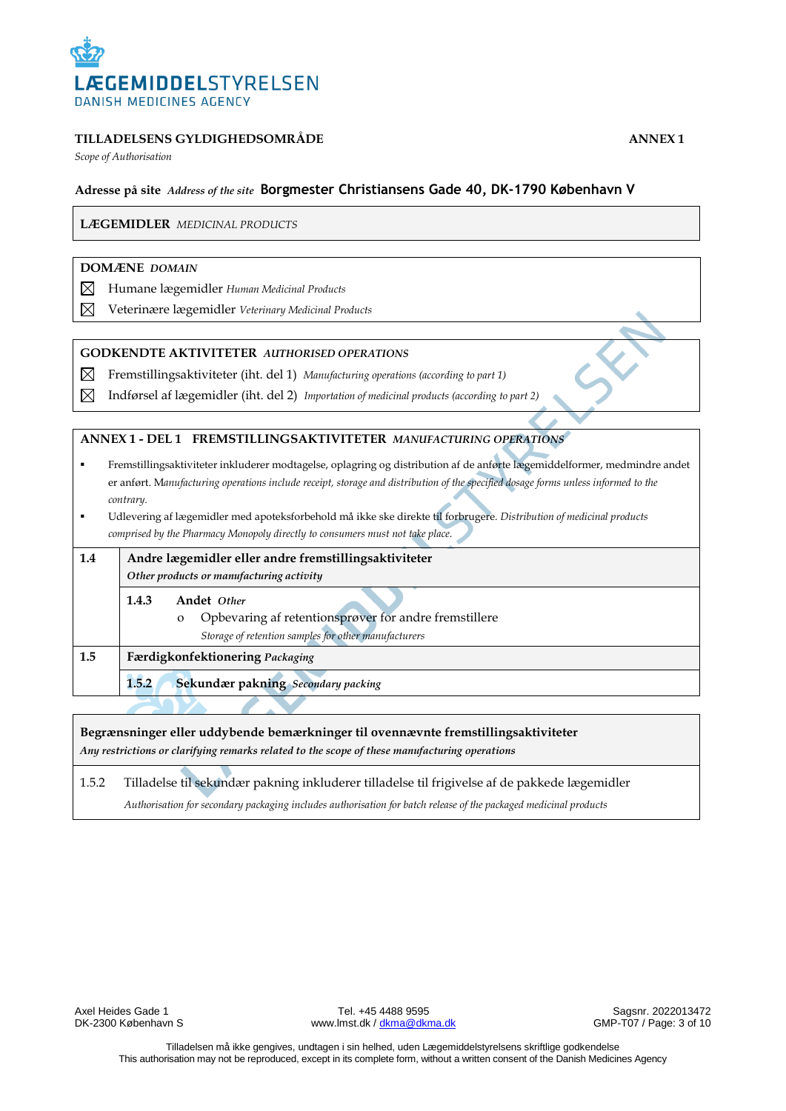

*Scope of Authorisation*

# **Adresse på site** *Address of the site* **Borgmester Christiansens Gade 40, DK-1790 København V**

**LÆGEMIDLER** *MEDICINAL PRODUCTS*

#### **DOMÆNE** *DOMAIN*

- ⊠ Humane lægemidler *Human Medicinal Products*
- $\boxtimes$ Veterinære lægemidler *Veterinary Medicinal Products*

#### **GODKENDTE AKTIVITETER** *AUTHORISED OPERATIONS*

- ⊠ Fremstillingsaktiviteter (iht. del 1) *Manufacturing operations (according to part 1)*
- $\boxtimes$ Indførsel af lægemidler (iht. del 2) *Importation of medicinal products (according to part 2)*

#### **ANNEX 1 - DEL 1 FREMSTILLINGSAKTIVITETER** *MANUFACTURING OPERATIONS*

- Fremstillingsaktiviteter inkluderer modtagelse, oplagring og distribution af de anførte lægemiddelformer, medmindre andet er anført. M*anufacturing operations include receipt, storage and distribution of the specified dosage forms unless informed to the contrary.*
- Udlevering af lægemidler med apoteksforbehold må ikke ske direkte til forbrugere. *Distribution of medicinal products comprised by the Pharmacy Monopoly directly to consumers must not take place.*

| 1.4 | Andre lægemidler eller andre fremstillingsaktiviteter<br>Other products or manufacturing activity |                                                                                                                                          |
|-----|---------------------------------------------------------------------------------------------------|------------------------------------------------------------------------------------------------------------------------------------------|
|     | 1.4.3                                                                                             | Andet Other<br>Opbevaring af retentionsprøver for andre fremstillere<br>$\Omega$<br>Storage of retention samples for other manufacturers |
| 1.5 | Færdigkonfektionering Packaging                                                                   |                                                                                                                                          |
|     | 1.5.2                                                                                             | Sekundær pakning Secondary packing                                                                                                       |
|     |                                                                                                   |                                                                                                                                          |

**Begrænsninger eller uddybende bemærkninger til ovennævnte fremstillingsaktiviteter** *Any restrictions or clarifying remarks related to the scope of these manufacturing operations*

1.5.2 Tilladelse til sekundær pakning inkluderer tilladelse til frigivelse af de pakkede lægemidler *Authorisation for secondary packaging includes authorisation for batch release of the packaged medicinal products*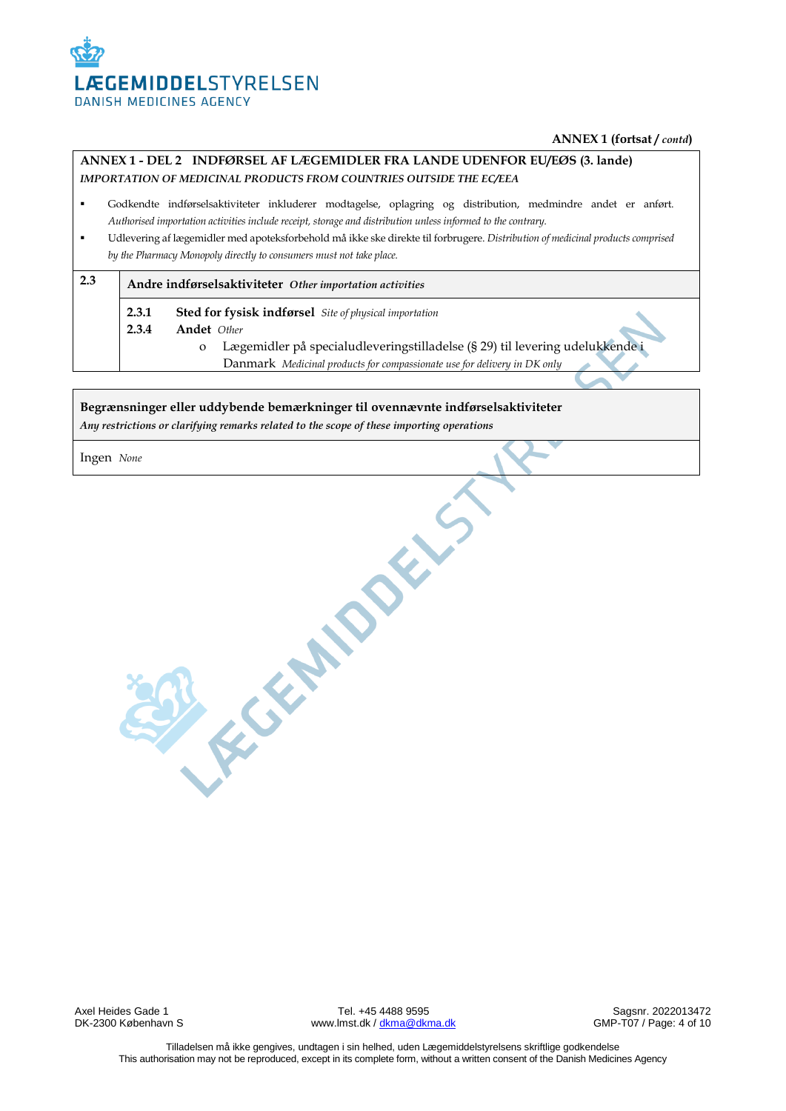

#### **ANNEX 1 (fortsat /** *contd***)**

# **ANNEX 1 - DEL 2 INDFØRSEL AF LÆGEMIDLER FRA LANDE UDENFOR EU/EØS (3. lande)**  *IMPORTATION OF MEDICINAL PRODUCTS FROM COUNTRIES OUTSIDE THE EC/EEA*

- Godkendte indførselsaktiviteter inkluderer modtagelse, oplagring og distribution, medmindre andet er anført. *Authorised importation activities include receipt, storage and distribution unless informed to the contrary.*
- Udlevering af lægemidler med apoteksforbehold må ikke ske direkte til forbrugere. *Distribution of medicinal products comprised by the Pharmacy Monopoly directly to consumers must not take place.*

# **2.3 Andre indførselsaktiviteter** *Other importation activities*

**2.3.1 Sted for fysisk indførsel** *Site of physical importation*

**2.3.4 Andet** *Other* 

- o Lægemidler på specialudleveringstilladelse (§ 29) til levering udelukkende i Danmark *Medicinal products for compassionate use for delivery in DK only*
	-

#### **Begrænsninger eller uddybende bemærkninger til ovennævnte indførselsaktiviteter** *Any restrictions or clarifying remarks related to the scope of these importing operations*

REGISTER DOCKS

Ingen *None*

Axel Heides Gade 1 **Axel Heides Gade 1** Tel. +45 4488 9595 Sagsnr. 2022013472<br>DK-2300 København S Sagsnr. 2022013472 www.lmst.dk [/ dkma@dkma.dk](mailto:dkma@dkma.dk)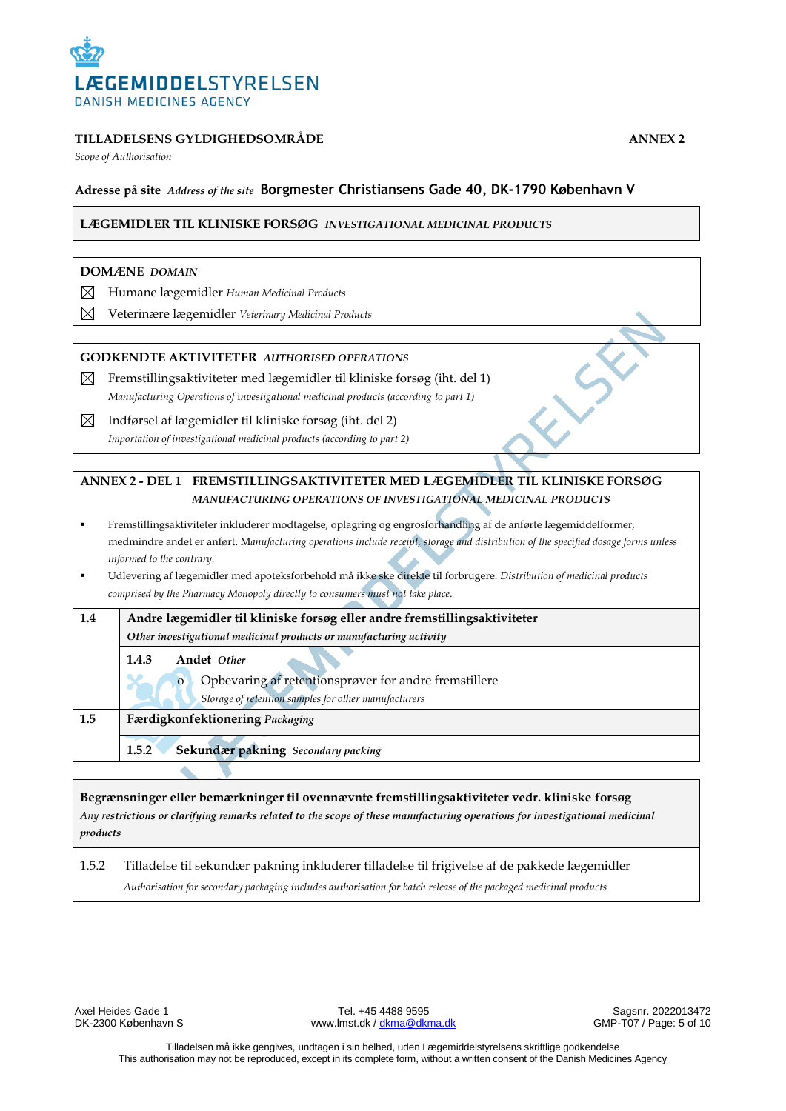

*Scope of Authorisation*

# **Adresse på site** *Address of the site* **Borgmester Christiansens Gade 40, DK-1790 København V**

#### **LÆGEMIDLER TIL KLINISKE FORSØG** *INVESTIGATIONAL MEDICINAL PRODUCTS*

#### **DOMÆNE** *DOMAIN*

- ⊠ Humane lægemidler *Human Medicinal Products*
- ⊠ Veterinære lægemidler *Veterinary Medicinal Products*

#### **GODKENDTE AKTIVITETER** *AUTHORISED OPERATIONS*

- $\boxtimes$  Fremstillingsaktiviteter med lægemidler til kliniske forsøg (iht. del 1) *Manufacturing Operations of* i*nvestigational medicinal products (according to part 1)*
- $\boxtimes$  Indførsel af lægemidler til kliniske forsøg (iht. del 2) *Importation of investigational medicinal products (according to part 2)*

# **ANNEX 2 - DEL 1 FREMSTILLINGSAKTIVITETER MED LÆGEMIDLER TIL KLINISKE FORSØG** *MANUFACTURING OPERATIONS OF INVESTIGATIONAL MEDICINAL PRODUCTS*

- Fremstillingsaktiviteter inkluderer modtagelse, oplagring og engrosforhandling af de anførte lægemiddelformer, medmindre andet er anført. M*anufacturing operations include receipt, storage and distribution of the specified dosage forms unless informed to the contrary.*
- Udlevering af lægemidler med apoteksforbehold må ikke ske direkte til forbrugere. *Distribution of medicinal products comprised by the Pharmacy Monopoly directly to consumers must not take place.*

| 1.4 | Andre lægemidler til kliniske forsøg eller andre fremstillingsaktiviteter |  |
|-----|---------------------------------------------------------------------------|--|
|     | Other investigational medicinal products or manufacturing activity        |  |
|     | Andet Other<br>1.4.3                                                      |  |
|     | Opbevaring af retentionsprøver for andre fremstillere<br>$\mathbf{o}$     |  |
|     | Storage of retention samples for other manufacturers                      |  |
| 1.5 | Færdigkonfektionering Packaging                                           |  |
|     | Sekundær pakning Secondary packing<br>1.5.2                               |  |

#### **Begrænsninger eller bemærkninger til ovennævnte fremstillingsaktiviteter vedr. kliniske forsøg**

*Any restrictions or clarifying remarks related to the scope of these manufacturing operations for investigational medicinal products*

# 1.5.2 Tilladelse til sekundær pakning inkluderer tilladelse til frigivelse af de pakkede lægemidler *Authorisation for secondary packaging includes authorisation for batch release of the packaged medicinal products*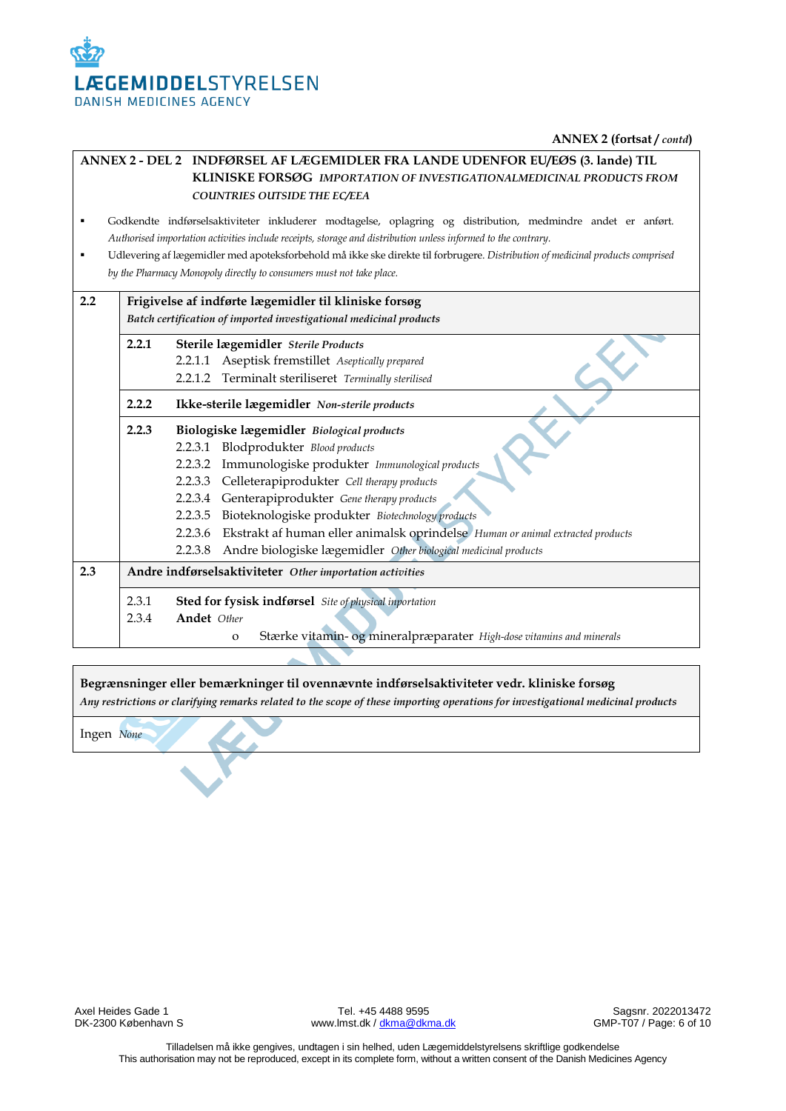

# **ANNEX 2 - DEL 2 INDFØRSEL AF LÆGEMIDLER FRA LANDE UDENFOR EU/EØS (3. lande) TIL KLINISKE FORSØG** *IMPORTATION OF INVESTIGATIONALMEDICINAL PRODUCTS FROM COUNTRIES OUTSIDE THE EC/EEA*

- Godkendte indførselsaktiviteter inkluderer modtagelse, oplagring og distribution, medmindre andet er anført. *Authorised importation activities include receipts, storage and distribution unless informed to the contrary.*
- Udlevering af lægemidler med apoteksforbehold må ikke ske direkte til forbrugere. *Distribution of medicinal products comprised by the Pharmacy Monopoly directly to consumers must not take place.*

| 2.2 | Frigivelse af indførte lægemidler til kliniske forsøg              |                                                                                        |  |
|-----|--------------------------------------------------------------------|----------------------------------------------------------------------------------------|--|
|     |                                                                    |                                                                                        |  |
|     | Batch certification of imported investigational medicinal products |                                                                                        |  |
|     | 2.2.1                                                              | Sterile lægemidler Sterile Products                                                    |  |
|     |                                                                    | 2.2.1.1 Aseptisk fremstillet Aseptically prepared                                      |  |
|     |                                                                    | 2.2.1.2 Terminalt steriliseret Terminally sterilised                                   |  |
|     | 2.2.2<br>Ikke-sterile lægemidler Non-sterile products              |                                                                                        |  |
|     | 2.2.3<br>Biologiske lægemidler Biological products                 |                                                                                        |  |
|     |                                                                    | 2.2.3.1 Blodprodukter Blood products                                                   |  |
|     |                                                                    | 2.2.3.2 Immunologiske produkter Immunological products                                 |  |
|     |                                                                    | 2.2.3.3 Celleterapiprodukter Cell therapy products                                     |  |
|     |                                                                    | Genterapiprodukter Gene therapy products<br>2.2.3.4                                    |  |
|     |                                                                    | Bioteknologiske produkter Biotechnology products<br>2.2.3.5                            |  |
|     |                                                                    | 2.2.3.6 Ekstrakt af human eller animalsk oprindelse Human or animal extracted products |  |
|     |                                                                    | Andre biologiske lægemidler Other biological medicinal products<br>2.2.3.8             |  |
| 2.3 | Andre indførselsaktiviteter Other importation activities           |                                                                                        |  |
|     | 2.3.1                                                              | Sted for fysisk indførsel Site of physical inportation                                 |  |
|     | 2.3.4                                                              | Andet Other                                                                            |  |
|     |                                                                    | Stærke vitamin- og mineralpræparater High-dose vitamins and minerals<br>$\mathbf{O}$   |  |

**Begrænsninger eller bemærkninger til ovennævnte indførselsaktiviteter vedr. kliniske forsøg** *Any restrictions or clarifying remarks related to the scope of these importing operations for investigational medicinal products*

Ingen *None*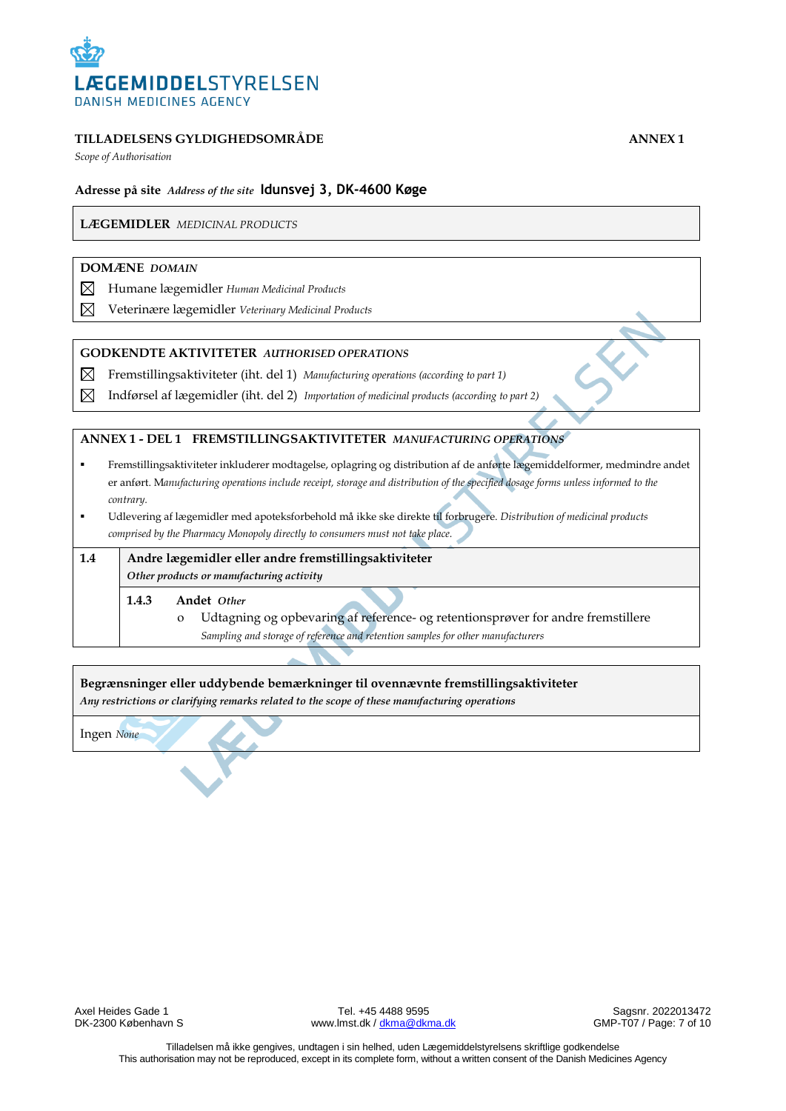

*Scope of Authorisation*

### **Adresse på site** *Address of the site* **Idunsvej 3, DK-4600 Køge**

**LÆGEMIDLER** *MEDICINAL PRODUCTS*

#### **DOMÆNE** *DOMAIN*

- ⊠ Humane lægemidler *Human Medicinal Products*
- $\boxtimes$ Veterinære lægemidler *Veterinary Medicinal Products*

#### **GODKENDTE AKTIVITETER** *AUTHORISED OPERATIONS*

- ⊠ Fremstillingsaktiviteter (iht. del 1) *Manufacturing operations (according to part 1)*
- $\boxtimes$ Indførsel af lægemidler (iht. del 2) *Importation of medicinal products (according to part 2)*

#### **ANNEX 1 - DEL 1 FREMSTILLINGSAKTIVITETER** *MANUFACTURING OPERATIONS*

- Fremstillingsaktiviteter inkluderer modtagelse, oplagring og distribution af de anførte lægemiddelformer, medmindre andet er anført. M*anufacturing operations include receipt, storage and distribution of the specified dosage forms unless informed to the contrary.*
- Udlevering af lægemidler med apoteksforbehold må ikke ske direkte til forbrugere. *Distribution of medicinal products comprised by the Pharmacy Monopoly directly to consumers must not take place.*

| 1.4 | Andre lægemidler eller andre fremstillingsaktiviteter |                                                                                                                                                                                     |  |
|-----|-------------------------------------------------------|-------------------------------------------------------------------------------------------------------------------------------------------------------------------------------------|--|
|     |                                                       | Other products or manufacturing activity                                                                                                                                            |  |
|     | 1.4.3                                                 | Andet Other                                                                                                                                                                         |  |
|     |                                                       | Udtagning og opbevaring af reference- og retentionsprøver for andre fremstillere<br>$\mathbf{o}$<br>Sampling and storage of reference and retention samples for other manufacturers |  |

**Begrænsninger eller uddybende bemærkninger til ovennævnte fremstillingsaktiviteter**

*Any restrictions or clarifying remarks related to the scope of these manufacturing operations*

Ingen *None*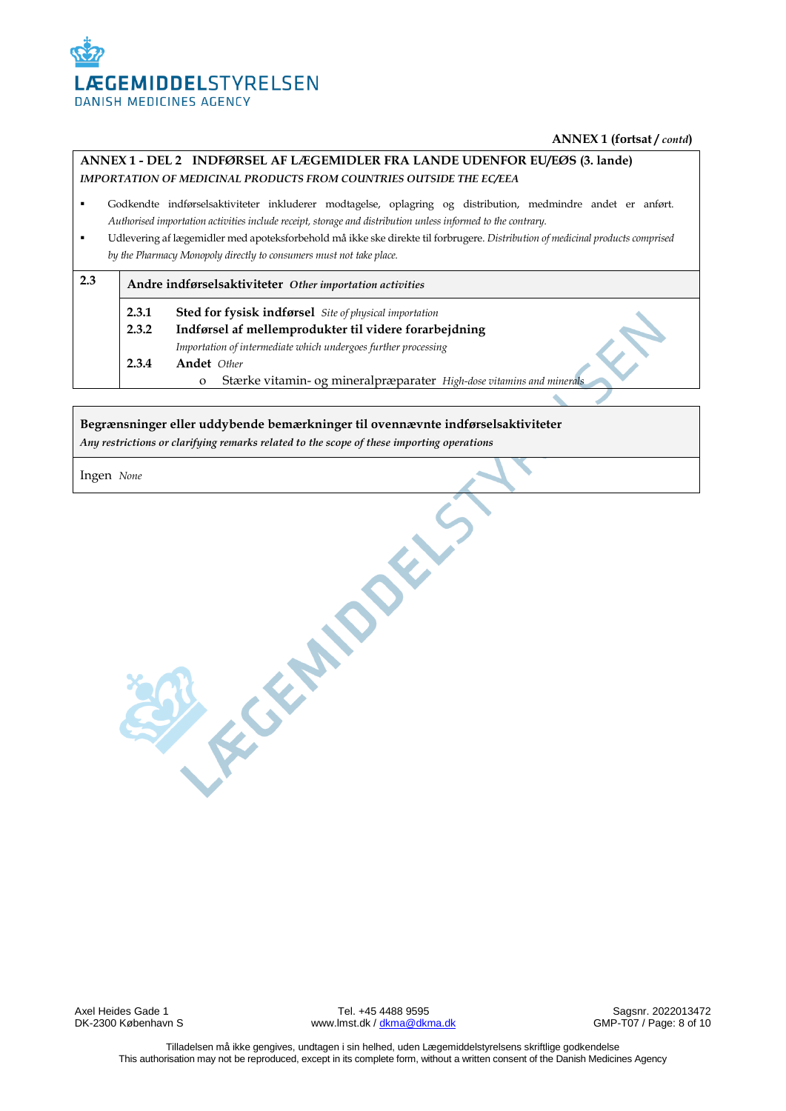

#### **ANNEX 1 (fortsat /** *contd***)**

# **ANNEX 1 - DEL 2 INDFØRSEL AF LÆGEMIDLER FRA LANDE UDENFOR EU/EØS (3. lande)**  *IMPORTATION OF MEDICINAL PRODUCTS FROM COUNTRIES OUTSIDE THE EC/EEA*

- Godkendte indførselsaktiviteter inkluderer modtagelse, oplagring og distribution, medmindre andet er anført. *Authorised importation activities include receipt, storage and distribution unless informed to the contrary.*
- Udlevering af lægemidler med apoteksforbehold må ikke ske direkte til forbrugere. *Distribution of medicinal products comprised by the Pharmacy Monopoly directly to consumers must not take place.*

| 2.3 |                | Andre indførselsaktiviteter Other importation activities                                                               |
|-----|----------------|------------------------------------------------------------------------------------------------------------------------|
|     | 2.3.1<br>2.3.2 | <b>Sted for fysisk indførsel</b> Site of physical importation<br>Indførsel af mellemprodukter til videre forarbejdning |
|     |                | Importation of intermediate which undergoes further processing                                                         |
|     | 2.3.4          | Andet Other                                                                                                            |
|     |                | Stærke vitamin- og mineralpræparater High-dose vitamins and minerals<br>$\Omega$                                       |

#### **Begrænsninger eller uddybende bemærkninger til ovennævnte indførselsaktiviteter**

R. F. GENERALLY

*Any restrictions or clarifying remarks related to the scope of these importing operations*

Ingen *None*

Axel Heides Gade 1 **Axel Heides Gade 1** Tel. +45 4488 9595 Sagsnr. 2022013472<br>DK-2300 København S Sagsnr. 2022013472 www.lmst.dk [/ dkma@dkma.dk](mailto:dkma@dkma.dk)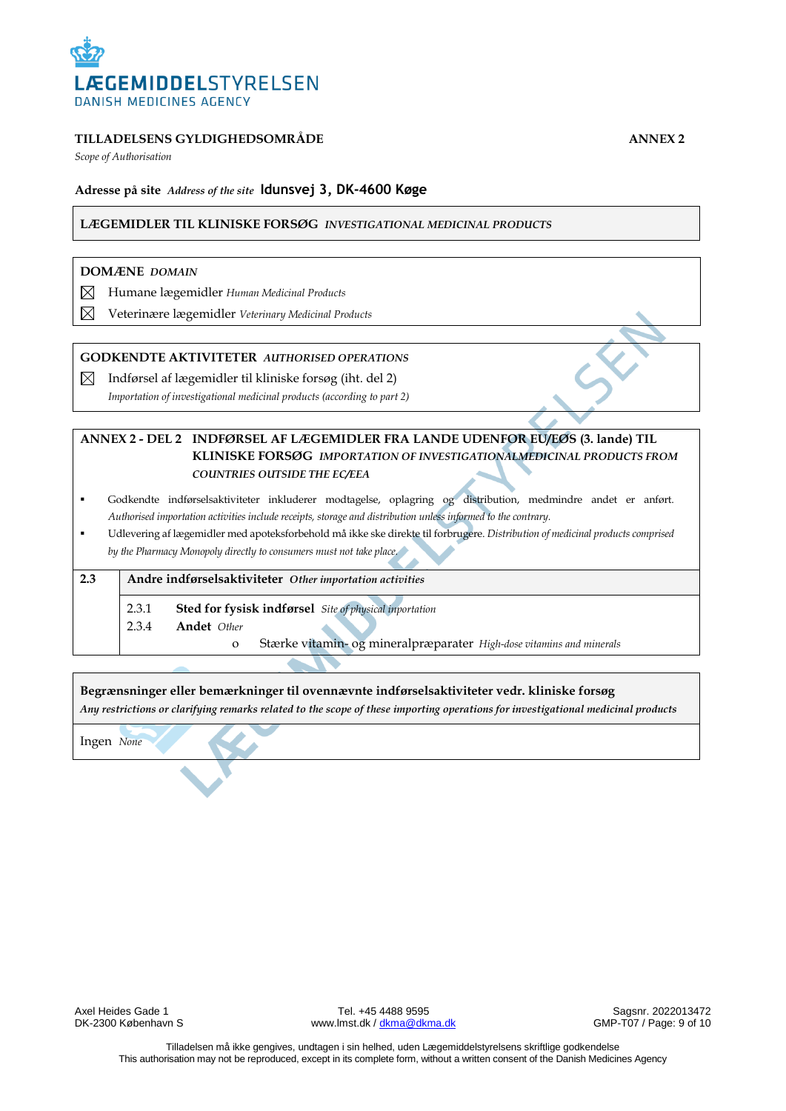

*Scope of Authorisation*

# **Adresse på site** *Address of the site* **Idunsvej 3, DK-4600 Køge**

#### **LÆGEMIDLER TIL KLINISKE FORSØG** *INVESTIGATIONAL MEDICINAL PRODUCTS*

#### **DOMÆNE** *DOMAIN*

- ⊠ Humane lægemidler *Human Medicinal Products*
- ⊠ Veterinære lægemidler *Veterinary Medicinal Products*

#### **GODKENDTE AKTIVITETER** *AUTHORISED OPERATIONS*

 $\boxtimes$  Indførsel af lægemidler til kliniske forsøg (iht. del 2) *Importation of investigational medicinal products (according to part 2)*

# **ANNEX 2 - DEL 2 INDFØRSEL AF LÆGEMIDLER FRA LANDE UDENFOR EU/EØS (3. lande) TIL KLINISKE FORSØG** *IMPORTATION OF INVESTIGATIONALMEDICINAL PRODUCTS FROM COUNTRIES OUTSIDE THE EC/EEA*

- Godkendte indførselsaktiviteter inkluderer modtagelse, oplagring og distribution, medmindre andet er anført. *Authorised importation activities include receipts, storage and distribution unless informed to the contrary.*
- Udlevering af lægemidler med apoteksforbehold må ikke ske direkte til forbrugere. *Distribution of medicinal products comprised by the Pharmacy Monopoly directly to consumers must not take place.*

# **2.3 Andre indførselsaktiviteter** *Other importation activities* 2.3.1 **Sted for fysisk indførsel** *Site of physical inportation* 2.3.4 **Andet** *Other* o Stærke vitamin- og mineralpræparater *High-dose vitamins and minerals*

**Begrænsninger eller bemærkninger til ovennævnte indførselsaktiviteter vedr. kliniske forsøg** *Any restrictions or clarifying remarks related to the scope of these importing operations for investigational medicinal products*

Ingen *None*